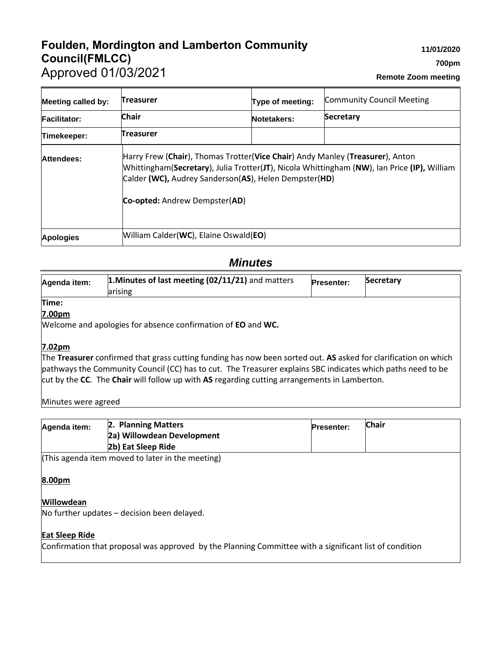# **Foulden, Mordington and Lamberton Community Council(FMLCC)** Approved 01/03/2021

| <b>Meeting called by:</b> | <b>Treasurer</b>                                                                              | Type of meeting:                                                                                                                                                              | <b>Community Council Meeting</b> |
|---------------------------|-----------------------------------------------------------------------------------------------|-------------------------------------------------------------------------------------------------------------------------------------------------------------------------------|----------------------------------|
| <b>Facilitator:</b>       | <b>Chair</b>                                                                                  | Notetakers:                                                                                                                                                                   | <b>Secretary</b>                 |
| Timekeeper:               | <b>Treasurer</b>                                                                              |                                                                                                                                                                               |                                  |
| Attendees:                | Calder (WC), Audrey Sanderson(AS), Helen Dempster(HD)<br><b>Co-opted:</b> Andrew Dempster(AD) | Harry Frew (Chair), Thomas Trotter(Vice Chair) Andy Manley (Treasurer), Anton<br>[Whittingham(Secretary), Julia Trotter(JT), Nicola Whittingham (NW), Ian Price (IP), William |                                  |
| <b>Apologies</b>          | William Calder(WC), Elaine Oswald(EO)                                                         |                                                                                                                                                                               |                                  |

## *Minutes*

| Agenda item:       | 1. Minutes of last meeting $(02/11/21)$ and matters<br>arising                                                  | <b>Presenter:</b> | <b>Secretary</b> |
|--------------------|-----------------------------------------------------------------------------------------------------------------|-------------------|------------------|
| Time:              |                                                                                                                 |                   |                  |
| 7.00 <sub>pm</sub> |                                                                                                                 |                   |                  |
|                    | Welcome and apologies for absence confirmation of <b>EO</b> and <b>WC.</b>                                      |                   |                  |
|                    |                                                                                                                 |                   |                  |
| 7.02 <sub>pm</sub> |                                                                                                                 |                   |                  |
|                    | The Treasurer confirmed that grass cutting funding has now been sorted out. AS asked for clarification on which |                   |                  |
|                    | pathways the Community Council (CC) has to cut. The Treasurer explains SBC indicates which paths need to be     |                   |                  |
|                    | cut by the CC. The Chair will follow up with AS regarding cutting arrangements in Lamberton.                    |                   |                  |

Minutes were agreed

| Agenda item:          | 2. Planning Matters<br>2a) Willowdean Development<br>2b) Eat Sleep Ride                                | <b>Presenter:</b> | <b>Chair</b> |
|-----------------------|--------------------------------------------------------------------------------------------------------|-------------------|--------------|
|                       | (This agenda item moved to later in the meeting)                                                       |                   |              |
| 8.00pm                |                                                                                                        |                   |              |
| <b>Willowdean</b>     | No further updates – decision been delayed.                                                            |                   |              |
| <b>Eat Sleep Ride</b> | Confirmation that proposal was approved by the Planning Committee with a significant list of condition |                   |              |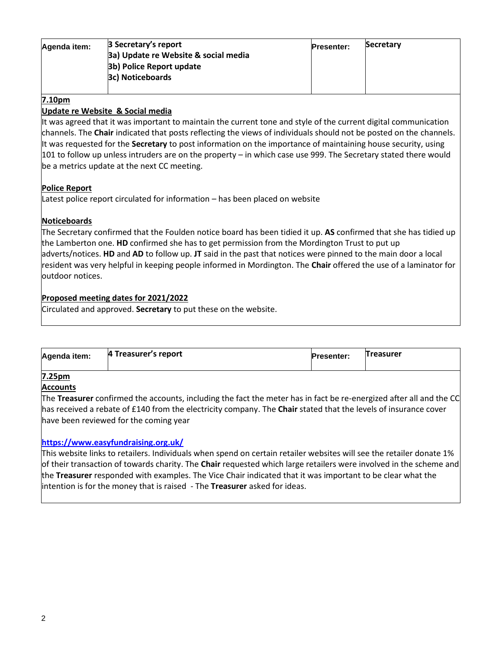| Agenda item: | 3 Secretary's report                 | <b>Presenter:</b> | Secretary |
|--------------|--------------------------------------|-------------------|-----------|
|              | 3a) Update re Website & social media |                   |           |
|              | 3b) Police Report update             |                   |           |
|              | 3c) Noticeboards                     |                   |           |
|              |                                      |                   |           |

### **7.10pm**

### **Update re Website & Social media**

It was agreed that it was important to maintain the current tone and style of the current digital communication channels. The **Chair** indicated that posts reflecting the views of individuals should not be posted on the channels. It was requested for the **Secretary** to post information on the importance of maintaining house security, using 101 to follow up unless intruders are on the property – in which case use 999. The Secretary stated there would be a metrics update at the next CC meeting.

#### **Police Report**

Latest police report circulated for information – has been placed on website

## **Noticeboards**

The Secretary confirmed that the Foulden notice board has been tidied it up. **AS** confirmed that she has tidied up the Lamberton one. **HD** confirmed she has to get permission from the Mordington Trust to put up adverts/notices. **HD** and **AD** to follow up. **JT** said in the past that notices were pinned to the main door a local resident was very helpful in keeping people informed in Mordington. The **Chair** offered the use of a laminator for outdoor notices.

## **Proposed meeting dates for 2021/2022**

Circulated and approved. **Secretary** to put these on the website.

| 4 Treasurer's report<br><b>Treasurer</b><br>Agenda item:<br><b>Presenter:</b> |  |
|-------------------------------------------------------------------------------|--|
|-------------------------------------------------------------------------------|--|

## **7.25pm**

#### **Accounts**

The **Treasurer** confirmed the accounts, including the fact the meter has in fact be re-energized after all and the CC has received a rebate of £140 from the electricity company. The **Chair** stated that the levels of insurance cover have been reviewed for the coming year

#### **<https://www.easyfundraising.org.uk/>**

This website links to retailers. Individuals when spend on certain retailer websites will see the retailer donate 1% of their transaction of towards charity. The **Chair** requested which large retailers were involved in the scheme and the **Treasurer** responded with examples. The Vice Chair indicated that it was important to be clear what the intention is for the money that is raised - The **Treasurer** asked for ideas.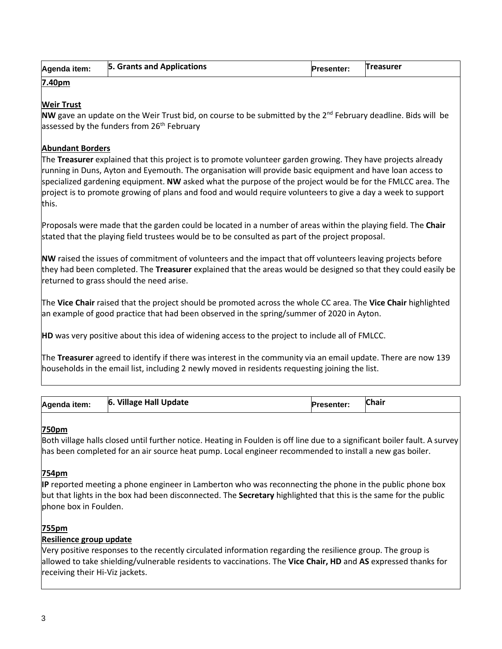| Agenda item: | 5. Grants and Applications | <b>Presenter:</b> | <b>Treasurer</b> |
|--------------|----------------------------|-------------------|------------------|
|              |                            |                   |                  |

#### **7.40pm**

## **Weir Trust**

**NW** gave an update on the Weir Trust bid, on course to be submitted by the 2<sup>nd</sup> February deadline. Bids will be assessed by the funders from 26<sup>th</sup> February

## **Abundant Borders**

The **Treasurer** explained that this project is to promote volunteer garden growing. They have projects already running in Duns, Ayton and Eyemouth. The organisation will provide basic equipment and have loan access to specialized gardening equipment. **NW** asked what the purpose of the project would be for the FMLCC area. The project is to promote growing of plans and food and would require volunteers to give a day a week to support this.

Proposals were made that the garden could be located in a number of areas within the playing field. The **Chair** stated that the playing field trustees would be to be consulted as part of the project proposal.

**NW** raised the issues of commitment of volunteers and the impact that off volunteers leaving projects before they had been completed. The **Treasurer** explained that the areas would be designed so that they could easily be returned to grass should the need arise.

The **Vice Chair** raised that the project should be promoted across the whole CC area. The **Vice Chair** highlighted an example of good practice that had been observed in the spring/summer of 2020 in Ayton.

**HD** was very positive about this idea of widening access to the project to include all of FMLCC.

The **Treasurer** agreed to identify if there was interest in the community via an email update. There are now 139 households in the email list, including 2 newly moved in residents requesting joining the list.

| Agenda item: | <b>Village Hall Update</b><br>16. | <b>Presenter:</b> | Chair |
|--------------|-----------------------------------|-------------------|-------|
|--------------|-----------------------------------|-------------------|-------|

## **750pm**

Both village halls closed until further notice. Heating in Foulden is off line due to a significant boiler fault. A survey has been completed for an air source heat pump. Local engineer recommended to install a new gas boiler.

## **754pm**

**IP** reported meeting a phone engineer in Lamberton who was reconnecting the phone in the public phone box but that lights in the box had been disconnected. The **Secretary** highlighted that this is the same for the public phone box in Foulden.

## **755pm**

## **Resilience group update**

Very positive responses to the recently circulated information regarding the resilience group. The group is allowed to take shielding/vulnerable residents to vaccinations. The **Vice Chair, HD** and **AS** expressed thanks for receiving their Hi-Viz jackets.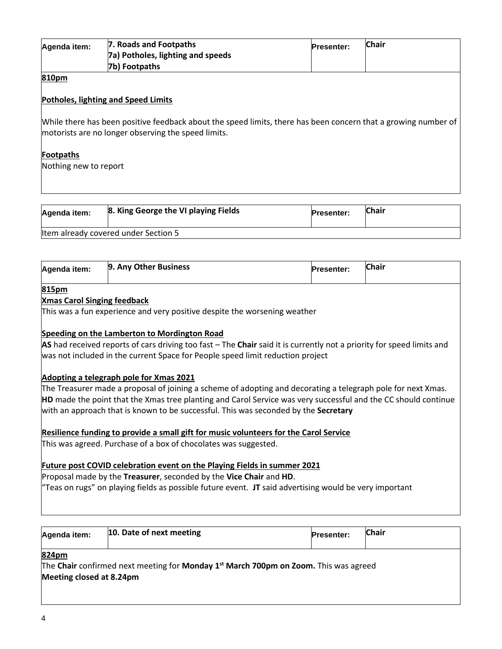| Agenda item: | 7. Roads and Footpaths<br>7a) Potholes, lighting and speeds<br>7b) Footpaths | <b>Presenter:</b> | <b>Chair</b> |
|--------------|------------------------------------------------------------------------------|-------------------|--------------|
| 810pm        |                                                                              |                   |              |

### **Potholes, lighting and Speed Limits**

While there has been positive feedback about the speed limits, there has been concern that a growing number of motorists are no longer observing the speed limits.

#### **Footpaths**

Nothing new to report

| Agenda item: | 8. King George the VI playing Fields | <b>Presenter:</b> | <b>Chair</b> |
|--------------|--------------------------------------|-------------------|--------------|
|              | Item already covered under Section 5 |                   |              |

| 9. Any Other Business | <b>Chair</b>      |
|-----------------------|-------------------|
| Agenda item:          | <b>Presenter:</b> |

#### **815pm**

#### **Xmas Carol Singing feedback**

This was a fun experience and very positive despite the worsening weather

#### **Speeding on the Lamberton to Mordington Road**

**AS** had received reports of cars driving too fast – The **Chair** said it is currently not a priority for speed limits and was not included in the current Space for People speed limit reduction project

#### **Adopting a telegraph pole for Xmas 2021**

The Treasurer made a proposal of joining a scheme of adopting and decorating a telegraph pole for next Xmas. **HD** made the point that the Xmas tree planting and Carol Service was very successful and the CC should continue with an approach that is known to be successful. This was seconded by the **Secretary**

#### **Resilience funding to provide a small gift for music volunteers for the Carol Service**

This was agreed. Purchase of a box of chocolates was suggested.

#### **Future post COVID celebration event on the Playing Fields in summer 2021**

Proposal made by the **Treasurer**, seconded by the **Vice Chair** and **HD**.

"Teas on rugs" on playing fields as possible future event. **JT** said advertising would be very important

| Agenda item:                      | 10. Date of next meeting                                                                         | <b>Presenter:</b> | <b>Chair</b> |
|-----------------------------------|--------------------------------------------------------------------------------------------------|-------------------|--------------|
| 824pm<br>Meeting closed at 8.24pm | The Chair confirmed next meeting for Monday 1 <sup>st</sup> March 700pm on Zoom. This was agreed |                   |              |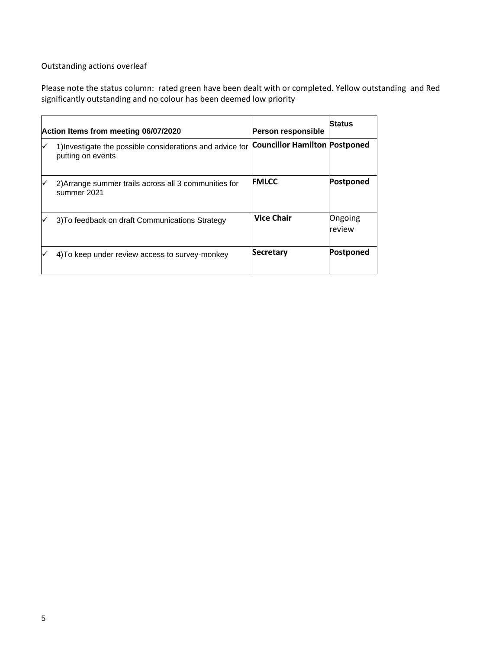## Outstanding actions overleaf

Please note the status column: rated green have been dealt with or completed. Yellow outstanding and Red significantly outstanding and no colour has been deemed low priority

| Action Items from meeting 06/07/2020                                           | <b>Person responsible</b>            | Status            |
|--------------------------------------------------------------------------------|--------------------------------------|-------------------|
| 1) Investigate the possible considerations and advice for<br>putting on events | <b>Councillor Hamilton Postponed</b> |                   |
| 2) Arrange summer trails across all 3 communities for<br>summer 2021           | <b>FMLCC</b>                         | Postponed         |
| 3) To feedback on draft Communications Strategy                                | <b>Vice Chair</b>                    | Ongoing<br>review |
| 4) To keep under review access to survey-monkey                                | <b>Secretary</b>                     | Postponed         |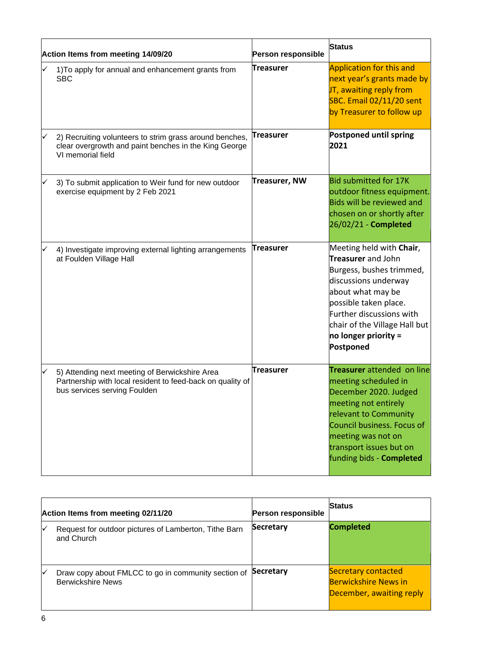| Action Items from meeting 14/09/20 |                                                                                                                                              | Person responsible   | <b>Status</b>                                                                                                                                                                                                                                             |
|------------------------------------|----------------------------------------------------------------------------------------------------------------------------------------------|----------------------|-----------------------------------------------------------------------------------------------------------------------------------------------------------------------------------------------------------------------------------------------------------|
|                                    | 1) To apply for annual and enhancement grants from<br><b>SBC</b>                                                                             | Treasurer            | Application for this and<br>next year's grants made by<br>JT, awaiting reply from<br><b>SBC. Email 02/11/20 sent</b><br>by Treasurer to follow up                                                                                                         |
| ✓                                  | 2) Recruiting volunteers to strim grass around benches,<br>clear overgrowth and paint benches in the King George<br>VI memorial field        | <b>Treasurer</b>     | <b>Postponed until spring</b><br>2021                                                                                                                                                                                                                     |
| ✓                                  | 3) To submit application to Weir fund for new outdoor<br>exercise equipment by 2 Feb 2021                                                    | <b>Treasurer, NW</b> | <b>Bid submitted for 17K</b><br>outdoor fitness equipment.<br>Bids will be reviewed and<br>chosen on or shortly after<br>26/02/21 - Completed                                                                                                             |
|                                    | 4) Investigate improving external lighting arrangements<br>at Foulden Village Hall                                                           | <b>Treasurer</b>     | Meeting held with Chair,<br><b>Treasurer</b> and John<br>Burgess, bushes trimmed,<br>discussions underway<br>about what may be<br>possible taken place.<br>Further discussions with<br>chair of the Village Hall but<br>no longer priority =<br>Postponed |
| ✓                                  | 5) Attending next meeting of Berwickshire Area<br>Partnership with local resident to feed-back on quality of<br>bus services serving Foulden | <b>Treasurer</b>     | <b>Treasurer</b> attended on line<br>meeting scheduled in<br>December 2020. Judged<br>meeting not entirely<br>relevant to Community<br>Council business. Focus of<br>meeting was not on<br>transport issues but on<br>funding bids - Completed            |

| Action Items from meeting 02/11/20 |                                                                                 | <b>Person responsible</b> | <b>Status</b>                                                                         |
|------------------------------------|---------------------------------------------------------------------------------|---------------------------|---------------------------------------------------------------------------------------|
| √                                  | Request for outdoor pictures of Lamberton, Tithe Barn<br>and Church             | <b>Secretary</b>          | <b>Completed</b>                                                                      |
| lv⁄                                | Draw copy about FMLCC to go in community section of<br><b>Berwickshire News</b> | <b>Secretary</b>          | <b>Secretary contacted</b><br><b>Berwickshire News in</b><br>December, awaiting reply |